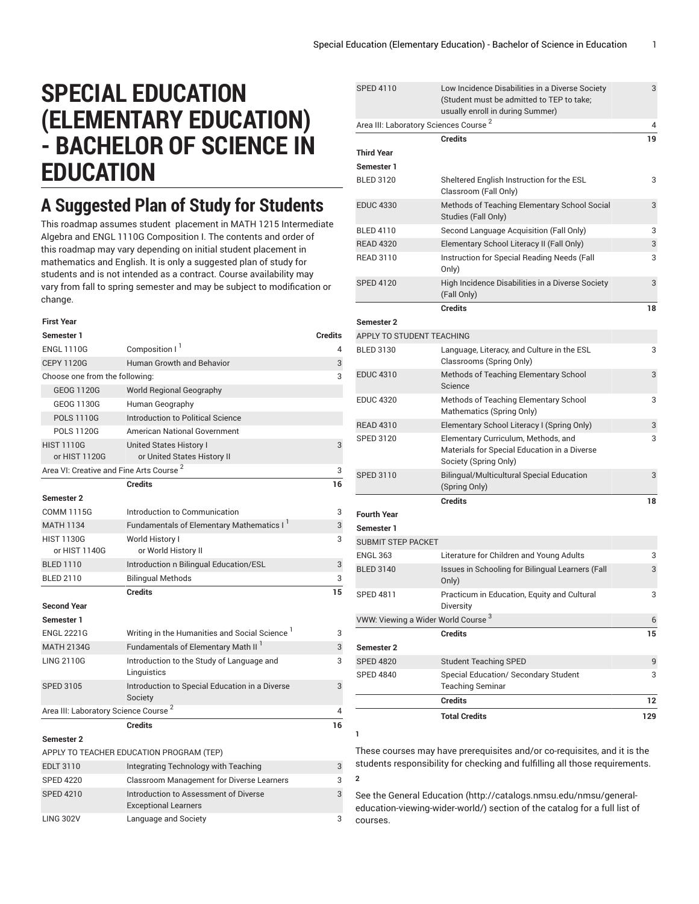SPED 4110 Low Incidence Disabilities in a Diverse Society

 $\overline{2}$ 

## **SPECIAL EDUCATION (ELEMENTARY EDUCATION) - BACHELOR OF SCIENCE IN EDUCATION**

## **A Suggested Plan of Study for Students**

This roadmap assumes student placement in MATH 1215 Intermediate Algebra and ENGL 1110G Composition I. The contents and order of this roadmap may vary depending on initial student placement in mathematics and English. It is only a suggested plan of study for students and is not intended as a contract. Course availability may vary from fall to spring semester and may be subject to modification or change.

| <b>First Year</b>                                   |                                                                      |                |
|-----------------------------------------------------|----------------------------------------------------------------------|----------------|
| Semester 1                                          |                                                                      | <b>Credits</b> |
| <b>FNGI 1110G</b>                                   | Composition I <sup>1</sup>                                           | 4              |
| <b>CEPY 1120G</b>                                   | <b>Human Growth and Behavior</b>                                     | 3              |
| Choose one from the following:                      |                                                                      | 3              |
| <b>GEOG 1120G</b>                                   | <b>World Regional Geography</b>                                      |                |
| GEOG 1130G                                          | Human Geography                                                      |                |
| <b>POLS 1110G</b>                                   | Introduction to Political Science                                    |                |
| <b>POLS 1120G</b>                                   | American National Government                                         |                |
| <b>HIST 1110G</b><br>or HIST 1120G                  | <b>United States History I</b><br>or United States History II        | 3              |
| Area VI: Creative and Fine Arts Course <sup>2</sup> |                                                                      | 3              |
|                                                     | Credits                                                              | 16             |
| <b>Semester 2</b>                                   |                                                                      |                |
| <b>COMM 1115G</b>                                   | Introduction to Communication                                        | 3              |
| <b>MATH 1134</b>                                    | Fundamentals of Elementary Mathematics I <sup>1</sup>                | 3              |
| <b>HIST 1130G</b><br>or HIST 1140G                  | World History I<br>or World History II                               | 3              |
| <b>BLED 1110</b>                                    | Introduction n Bilingual Education/ESL                               | 3              |
| <b>BLED 2110</b>                                    | <b>Bilingual Methods</b>                                             | 3              |
|                                                     | <b>Credits</b>                                                       | 15             |
| <b>Second Year</b>                                  |                                                                      |                |
| Semester 1                                          |                                                                      |                |
| <b>ENGL 2221G</b>                                   | Writing in the Humanities and Social Science '                       | 3              |
| <b>MATH 2134G</b>                                   | Fundamentals of Elementary Math II <sup>1</sup>                      | 3              |
| <b>LING 2110G</b>                                   | Introduction to the Study of Language and<br>Linguistics             | 3              |
| <b>SPED 3105</b>                                    | Introduction to Special Education in a Diverse<br>Society            | 3              |
| Area III: Laboratory Science Course <sup>2</sup>    |                                                                      | 4              |
|                                                     | <b>Credits</b>                                                       | 16             |
| <b>Semester 2</b>                                   |                                                                      |                |
|                                                     | APPLY TO TEACHER EDUCATION PROGRAM (TEP)                             |                |
| <b>EDLT 3110</b>                                    | Integrating Technology with Teaching                                 | 3              |
| <b>SPED 4220</b>                                    | <b>Classroom Management for Diverse Learners</b>                     | 3              |
| <b>SPED 4210</b>                                    | Introduction to Assessment of Diverse<br><b>Exceptional Learners</b> | 3              |

LING 302V Language and Society 3

|                                                   | <b>Credits</b><br><b>Total Credits</b>                                 | 12<br>129 |
|---------------------------------------------------|------------------------------------------------------------------------|-----------|
|                                                   |                                                                        |           |
| <b>SPED 4840</b>                                  | Special Education/ Secondary Student<br><b>Teaching Seminar</b>        | 3         |
| <b>SPED 4820</b>                                  | <b>Student Teaching SPED</b>                                           | 9         |
| Semester 2                                        |                                                                        |           |
|                                                   | <b>Credits</b>                                                         | 15        |
| VWW: Viewing a Wider World Course <sup>3</sup>    | Diversity                                                              | 6         |
| <b>SPED 4811</b>                                  | Only)<br>Practicum in Education, Equity and Cultural                   | 3         |
| <b>BLED 3140</b>                                  | Issues in Schooling for Bilingual Learners (Fall                       | 3         |
| <b>ENGL 363</b>                                   | Literature for Children and Young Adults                               | 3         |
| Semester 1<br>SUBMIT STEP PACKET                  |                                                                        |           |
| <b>Fourth Year</b>                                |                                                                        |           |
|                                                   | <b>Credits</b>                                                         | 18        |
| SPED 3110                                         | <b>Bilingual/Multicultural Special Education</b><br>(Spring Only)      | 3         |
|                                                   | Materials for Special Education in a Diverse<br>Society (Spring Only)  |           |
| <b>SPED 3120</b>                                  | Elementary Curriculum, Methods, and                                    | 3         |
| <b>READ 4310</b>                                  | Elementary School Literacy I (Spring Only)                             | 3         |
| <b>EDUC 4320</b>                                  | Methods of Teaching Elementary School<br>Mathematics (Spring Only)     | 3         |
| <b>EDUC 4310</b>                                  | Methods of Teaching Elementary School<br>Science                       | 3         |
| <b>BLED 3130</b>                                  | Language, Literacy, and Culture in the ESL<br>Classrooms (Spring Only) | 3         |
| APPLY TO STUDENT TEACHING                         |                                                                        |           |
| Semester 2                                        |                                                                        |           |
|                                                   | <b>Credits</b>                                                         | 18        |
| <b>SPED 4120</b>                                  | High Incidence Disabilities in a Diverse Society<br>(Fall Only)        | 3         |
| <b>READ 3110</b>                                  | Instruction for Special Reading Needs (Fall<br>Only)                   | 3         |
| <b>READ 4320</b>                                  | Elementary School Literacy II (Fall Only)                              | 3         |
| <b>BLED 4110</b>                                  | Studies (Fall Only)<br>Second Language Acquisition (Fall Only)         | 3         |
| <b>EDUC 4330</b>                                  | Methods of Teaching Elementary School Social                           | 3         |
| <b>BLED 3120</b>                                  | Sheltered English Instruction for the ESL<br>Classroom (Fall Only)     | 3         |
| Semester 1                                        |                                                                        |           |
| Third Year                                        | <b>Credits</b>                                                         | 19        |
| Area III: Laboratory Sciences Course <sup>2</sup> |                                                                        | 4         |
|                                                   | usually enroll in during Summer)                                       |           |
|                                                   | (Student must be admitted to TEP to take;                              |           |

These courses may have prerequisites and/or co-requisites, and it is the students responsibility for checking and fulfilling all those requirements. **2**

See the General [Education](http://catalogs.nmsu.edu/nmsu/general-education-viewing-wider-world/) ([http://catalogs.nmsu.edu/nmsu/general](http://catalogs.nmsu.edu/nmsu/general-education-viewing-wider-world/)[education-viewing-wider-world/\)](http://catalogs.nmsu.edu/nmsu/general-education-viewing-wider-world/) section of the catalog for a full list of courses.